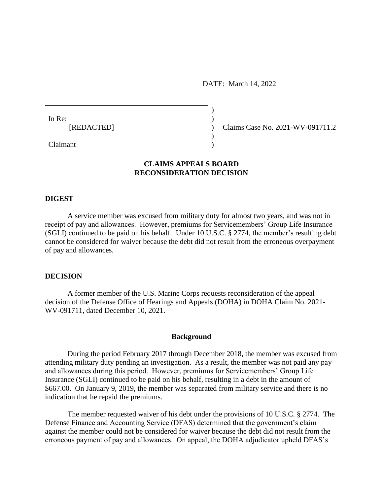DATE: March 14, 2022

 $)$ 

| In Re:     |  |
|------------|--|
| [REDACTED] |  |
|            |  |

(Claims Case No. 2021-WV-091711.2)

Claimant )

# **CLAIMS APPEALS BOARD RECONSIDERATION DECISION**

### **DIGEST**

A service member was excused from military duty for almost two years, and was not in receipt of pay and allowances. However, premiums for Servicemembers' Group Life Insurance (SGLI) continued to be paid on his behalf. Under 10 U.S.C. § 2774, the member's resulting debt cannot be considered for waiver because the debt did not result from the erroneous overpayment of pay and allowances.

## **DECISION**

A former member of the U.S. Marine Corps requests reconsideration of the appeal decision of the Defense Office of Hearings and Appeals (DOHA) in DOHA Claim No. 2021- WV-091711, dated December 10, 2021.

### **Background**

During the period February 2017 through December 2018, the member was excused from attending military duty pending an investigation. As a result, the member was not paid any pay and allowances during this period. However, premiums for Servicemembers' Group Life Insurance (SGLI) continued to be paid on his behalf, resulting in a debt in the amount of \$667.00. On January 9, 2019, the member was separated from military service and there is no indication that he repaid the premiums.

The member requested waiver of his debt under the provisions of 10 U.S.C. § 2774. The Defense Finance and Accounting Service (DFAS) determined that the government's claim against the member could not be considered for waiver because the debt did not result from the erroneous payment of pay and allowances. On appeal, the DOHA adjudicator upheld DFAS's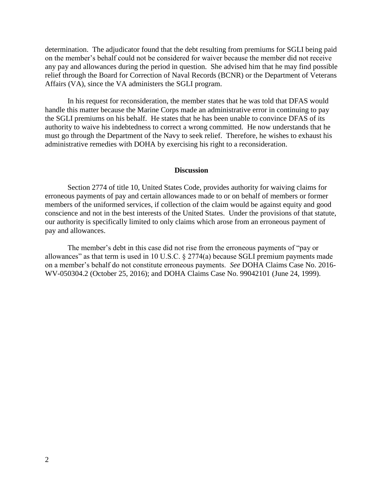determination. The adjudicator found that the debt resulting from premiums for SGLI being paid on the member's behalf could not be considered for waiver because the member did not receive any pay and allowances during the period in question. She advised him that he may find possible relief through the Board for Correction of Naval Records (BCNR) or the Department of Veterans Affairs (VA), since the VA administers the SGLI program.

In his request for reconsideration, the member states that he was told that DFAS would handle this matter because the Marine Corps made an administrative error in continuing to pay the SGLI premiums on his behalf. He states that he has been unable to convince DFAS of its authority to waive his indebtedness to correct a wrong committed. He now understands that he must go through the Department of the Navy to seek relief. Therefore, he wishes to exhaust his administrative remedies with DOHA by exercising his right to a reconsideration.

### **Discussion**

Section 2774 of title 10, United States Code, provides authority for waiving claims for erroneous payments of pay and certain allowances made to or on behalf of members or former members of the uniformed services, if collection of the claim would be against equity and good conscience and not in the best interests of the United States. Under the provisions of that statute, our authority is specifically limited to only claims which arose from an erroneous payment of pay and allowances.

The member's debt in this case did not rise from the erroneous payments of "pay or allowances" as that term is used in 10 U.S.C. § 2774(a) because SGLI premium payments made on a member's behalf do not constitute erroneous payments. *See* DOHA Claims Case No. 2016- WV-050304.2 (October 25, 2016); and DOHA Claims Case No. 99042101 (June 24, 1999).